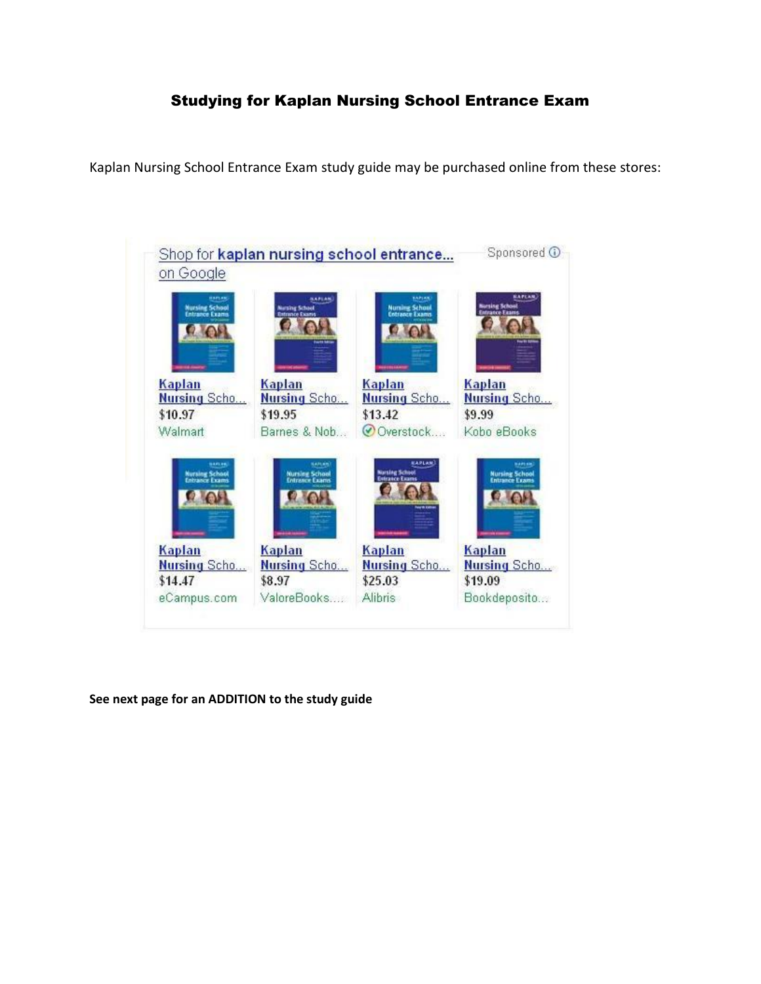## Studying for Kaplan Nursing School Entrance Exam

Kaplan Nursing School Entrance Exam study guide may be purchased online from these stores:



**See next page for an ADDITION to the study guide**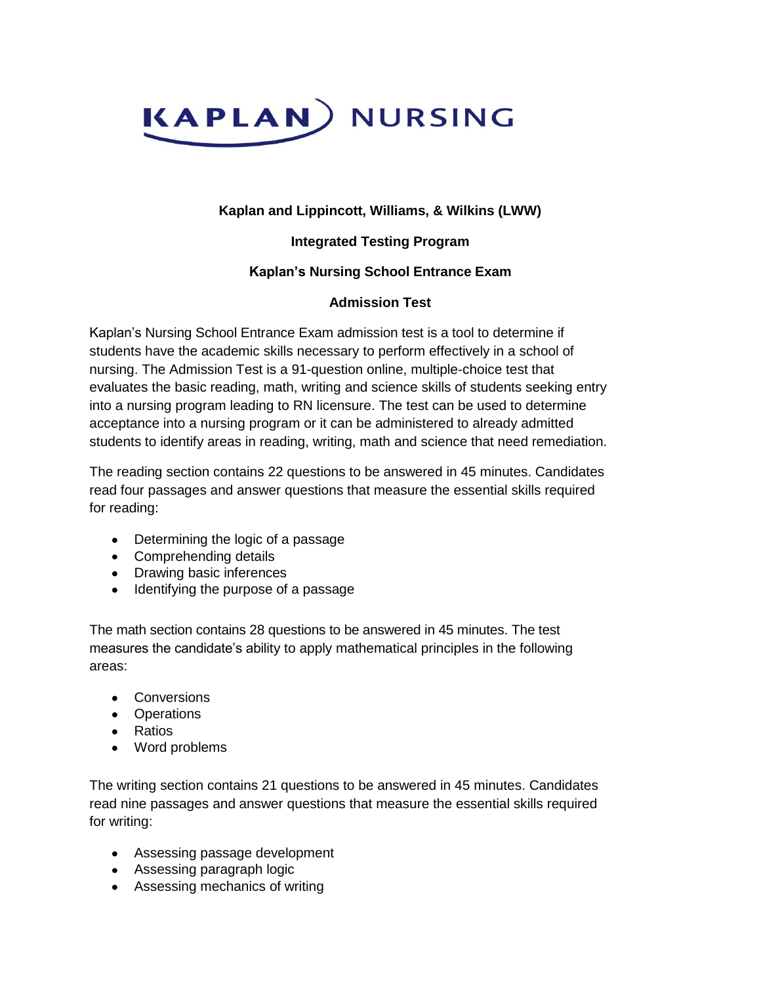

### **Kaplan and Lippincott, Williams, & Wilkins (LWW)**

### **Integrated Testing Program**

#### **Kaplan's Nursing School Entrance Exam**

#### **Admission Test**

Kaplan's Nursing School Entrance Exam admission test is a tool to determine if students have the academic skills necessary to perform effectively in a school of nursing. The Admission Test is a 91-question online, multiple-choice test that evaluates the basic reading, math, writing and science skills of students seeking entry into a nursing program leading to RN licensure. The test can be used to determine acceptance into a nursing program or it can be administered to already admitted students to identify areas in reading, writing, math and science that need remediation.

The reading section contains 22 questions to be answered in 45 minutes. Candidates read four passages and answer questions that measure the essential skills required for reading:

- Determining the logic of a passage
- Comprehending details
- Drawing basic inferences
- Identifying the purpose of a passage

The math section contains 28 questions to be answered in 45 minutes. The test measures the candidate's ability to apply mathematical principles in the following areas:

- Conversions
- Operations
- Ratios
- Word problems

The writing section contains 21 questions to be answered in 45 minutes. Candidates read nine passages and answer questions that measure the essential skills required for writing:

- Assessing passage development
- Assessing paragraph logic
- Assessing mechanics of writing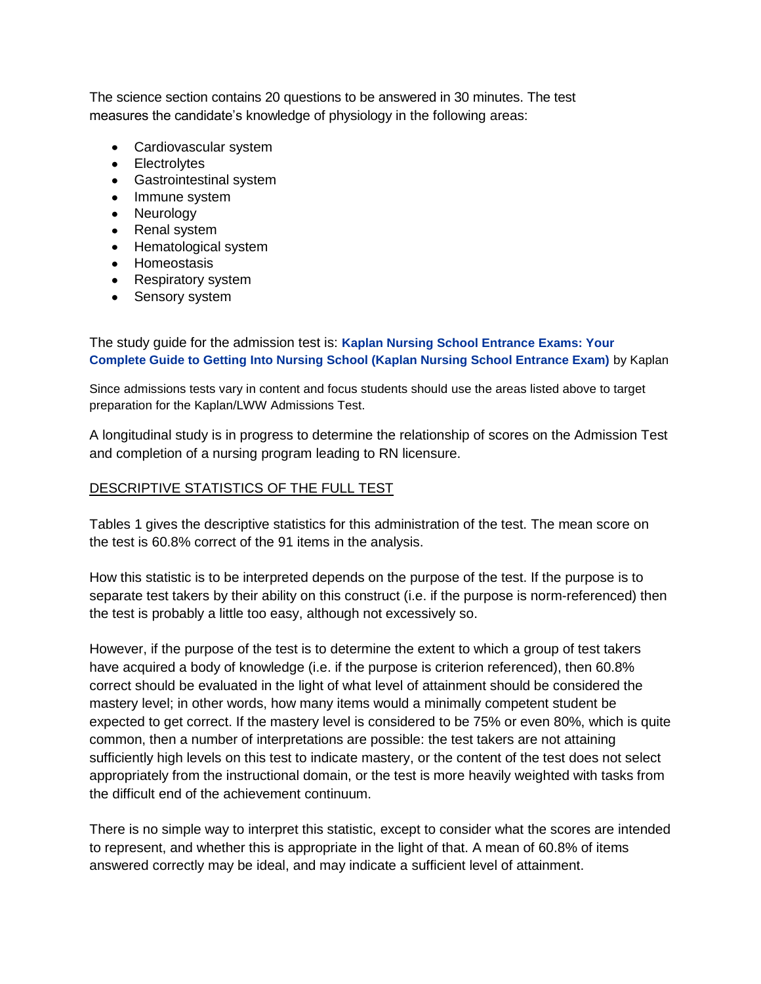The science section contains 20 questions to be answered in 30 minutes. The test measures the candidate's knowledge of physiology in the following areas:

- Cardiovascular system
- Electrolytes
- Gastrointestinal system
- Immune system
- Neurology
- Renal system
- Hematological system
- Homeostasis
- Respiratory system
- Sensory system

The study guide for the admission test is: **[Kaplan Nursing School Entrance Exams: Your](http://www.amazon.com/Kaplan-Nursing-School-Entrance-Exams/dp/1419551256/ref=sr_1_2?ie=UTF8&s=books&qid=1212094647&sr=1-2)  [Complete Guide to Getting Into Nursing School \(Kaplan Nursing School Entrance Exam\)](http://www.amazon.com/Kaplan-Nursing-School-Entrance-Exams/dp/1419551256/ref=sr_1_2?ie=UTF8&s=books&qid=1212094647&sr=1-2)** by Kaplan

Since admissions tests vary in content and focus students should use the areas listed above to target preparation for the Kaplan/LWW Admissions Test.

A longitudinal study is in progress to determine the relationship of scores on the Admission Test and completion of a nursing program leading to RN licensure.

#### DESCRIPTIVE STATISTICS OF THE FULL TEST

Tables 1 gives the descriptive statistics for this administration of the test. The mean score on the test is 60.8% correct of the 91 items in the analysis.

How this statistic is to be interpreted depends on the purpose of the test. If the purpose is to separate test takers by their ability on this construct (i.e. if the purpose is norm-referenced) then the test is probably a little too easy, although not excessively so.

However, if the purpose of the test is to determine the extent to which a group of test takers have acquired a body of knowledge (i.e. if the purpose is criterion referenced), then 60.8% correct should be evaluated in the light of what level of attainment should be considered the mastery level; in other words, how many items would a minimally competent student be expected to get correct. If the mastery level is considered to be 75% or even 80%, which is quite common, then a number of interpretations are possible: the test takers are not attaining sufficiently high levels on this test to indicate mastery, or the content of the test does not select appropriately from the instructional domain, or the test is more heavily weighted with tasks from the difficult end of the achievement continuum.

There is no simple way to interpret this statistic, except to consider what the scores are intended to represent, and whether this is appropriate in the light of that. A mean of 60.8% of items answered correctly may be ideal, and may indicate a sufficient level of attainment.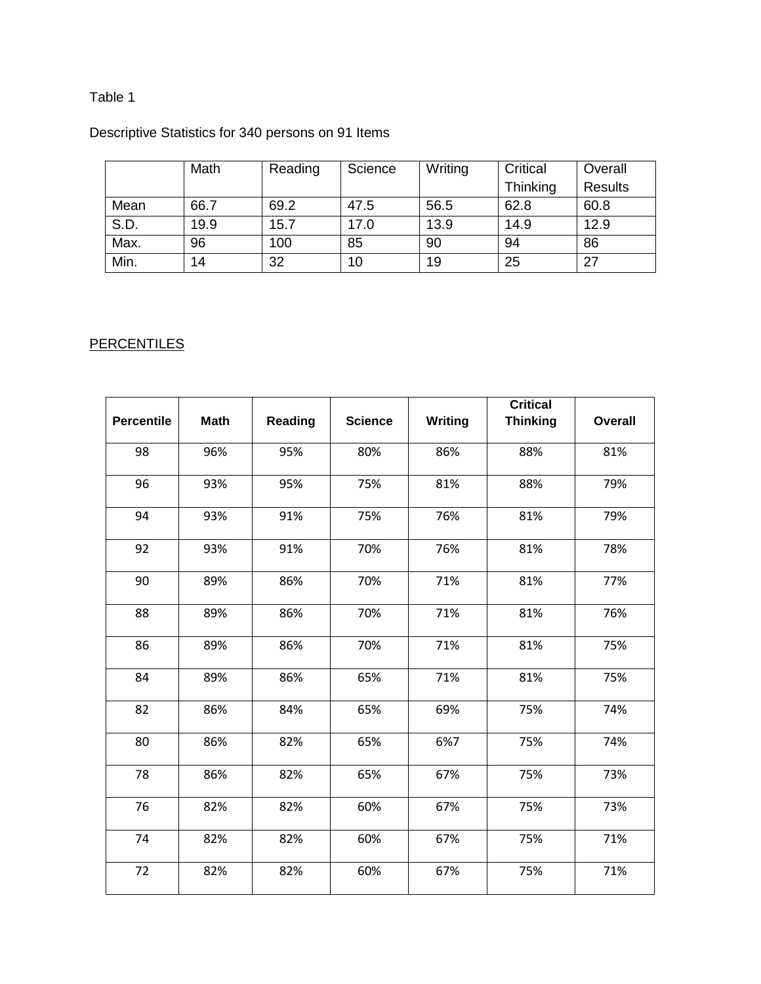## Table 1

# Descriptive Statistics for 340 persons on 91 Items

|      | Math | Reading | Science | Writing | Critical | Overall        |
|------|------|---------|---------|---------|----------|----------------|
|      |      |         |         |         | Thinking | <b>Results</b> |
| Mean | 66.7 | 69.2    | 47.5    | 56.5    | 62.8     | 60.8           |
| S.D. | 19.9 | 15.7    | 17.0    | 13.9    | 14.9     | 12.9           |
| Max. | 96   | 100     | 85      | 90      | 94       | 86             |
| Min. | 14   | 32      | 10      | 19      | 25       | 27             |

# **PERCENTILES**

|                   |             |                |                |         | <b>Critical</b> |                |
|-------------------|-------------|----------------|----------------|---------|-----------------|----------------|
| <b>Percentile</b> | <b>Math</b> | <b>Reading</b> | <b>Science</b> | Writing | <b>Thinking</b> | <b>Overall</b> |
| 98                | 96%         | 95%            | 80%            | 86%     | 88%             | 81%            |
| 96                | 93%         | 95%            | 75%            | 81%     | 88%             | 79%            |
| 94                | 93%         | 91%            | 75%            | 76%     | 81%             | 79%            |
| 92                | 93%         | 91%            | 70%            | 76%     | 81%             | 78%            |
| 90                | 89%         | 86%            | 70%            | 71%     | 81%             | 77%            |
| 88                | 89%         | 86%            | 70%            | 71%     | 81%             | 76%            |
| 86                | 89%         | 86%            | 70%            | 71%     | 81%             | 75%            |
| 84                | 89%         | 86%            | 65%            | 71%     | 81%             | 75%            |
| 82                | 86%         | 84%            | 65%            | 69%     | 75%             | 74%            |
| 80                | 86%         | 82%            | 65%            | 6%7     | 75%             | 74%            |
| 78                | 86%         | 82%            | 65%            | 67%     | 75%             | 73%            |
| 76                | 82%         | 82%            | 60%            | 67%     | 75%             | 73%            |
| 74                | 82%         | 82%            | 60%            | 67%     | 75%             | 71%            |
| 72                | 82%         | 82%            | 60%            | 67%     | 75%             | 71%            |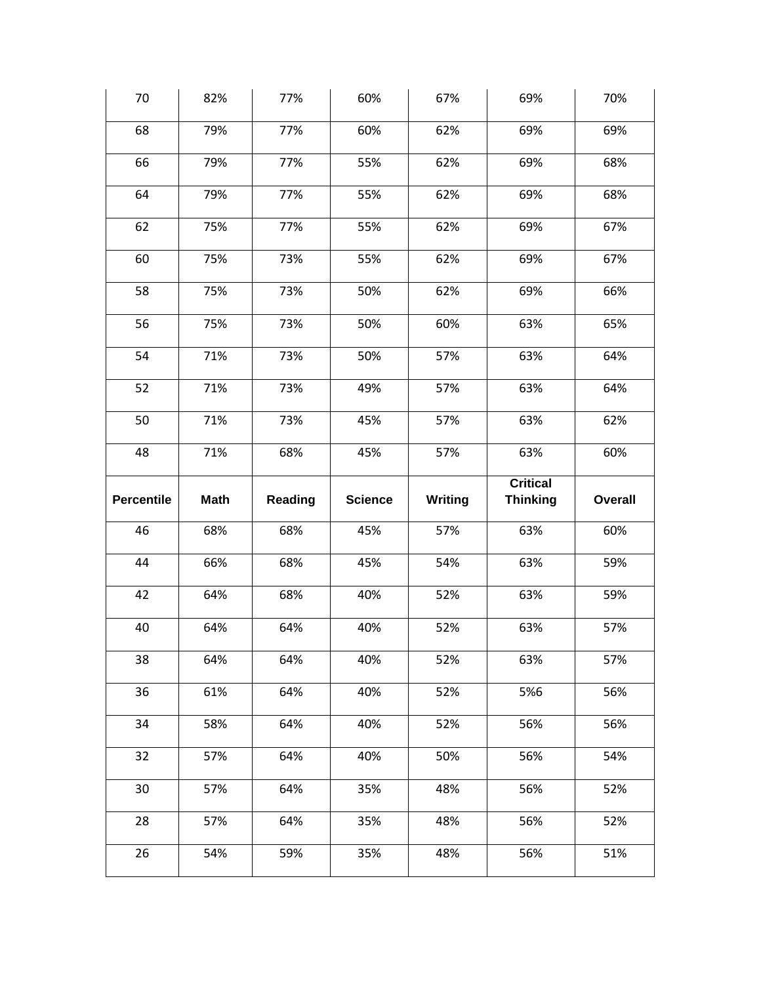| 70                | 82%         | 77%     | 60%            | 67%            | 69%             | 70%            |
|-------------------|-------------|---------|----------------|----------------|-----------------|----------------|
| 68                | 79%         | 77%     | 60%            | 62%            | 69%             | 69%            |
| 66                | 79%         | 77%     | 55%            | 62%            | 69%             | 68%            |
| 64                | 79%         | 77%     | 55%            | 62%            | 69%             | 68%            |
| 62                | 75%         | 77%     | 55%            | 62%            | 69%             | 67%            |
| 60                | 75%         | 73%     | 55%            | 62%            | 69%             | 67%            |
| 58                | 75%         | 73%     | 50%            | 62%            | 69%             | 66%            |
| 56                | 75%         | 73%     | 50%            | 60%            | 63%             | 65%            |
| 54                | 71%         | 73%     | 50%            | 57%            | 63%             | 64%            |
| 52                | 71%         | 73%     | 49%            | 57%            | 63%             | 64%            |
| 50                | 71%         | 73%     | 45%            | 57%            | 63%             | 62%            |
| 48                | 71%         | 68%     | 45%            | 57%            | 63%             | 60%            |
|                   |             |         |                |                |                 |                |
|                   |             |         |                |                | <b>Critical</b> |                |
| <b>Percentile</b> | <b>Math</b> | Reading | <b>Science</b> | <b>Writing</b> | <b>Thinking</b> | <b>Overall</b> |
| 46                | 68%         | 68%     | 45%            | 57%            | 63%             | 60%            |
| 44                | 66%         | 68%     | 45%            | 54%            | 63%             | 59%            |
| 42                | 64%         | 68%     | 40%            | 52%            | 63%             | 59%            |
| 40                | 64%         | 64%     | 40%            | 52%            | 63%             | 57%            |
| 38                | 64%         | 64%     | 40%            | 52%            | 63%             | 57%            |
| 36                | 61%         | 64%     | 40%            | 52%            | 5%6             | 56%            |
| 34                | 58%         | 64%     | 40%            | 52%            | 56%             | 56%            |
| 32                | 57%         | 64%     | 40%            | 50%            | 56%             | 54%            |
| 30                | 57%         | 64%     | 35%            | 48%            | 56%             | 52%            |
| 28                | 57%         | 64%     | 35%            | 48%            | 56%             | 52%            |